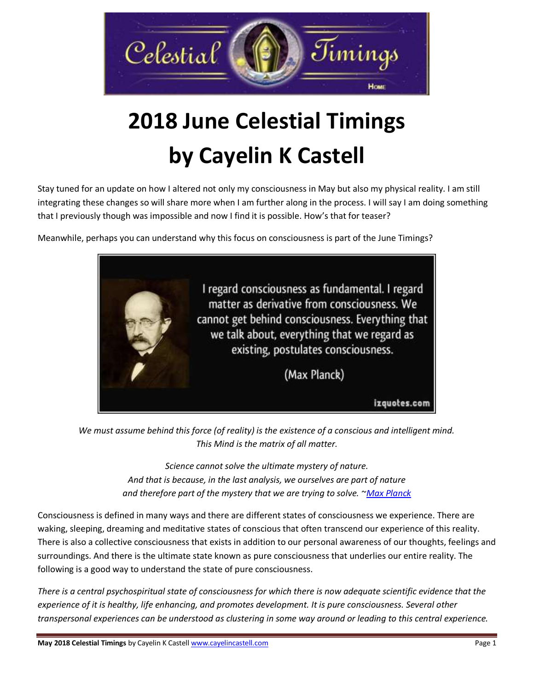

# **2018 June Celestial Timings by Cayelin K Castell**

Stay tuned for an update on how I altered not only my consciousness in May but also my physical reality. I am still integrating these changes so will share more when I am further along in the process. I will say I am doing something that I previously though was impossible and now I find it is possible. How's that for teaser?

Meanwhile, perhaps you can understand why this focus on consciousness is part of the June Timings?



*We must assume behind this force (of reality) is the existence of a conscious and intelligent mind. This Mind is the matrix of all matter.*

> *Science cannot solve the ultimate mystery of nature. And that is because, in the last analysis, we ourselves are part of nature and therefore part of the mystery that we are trying to solve. [~Max Planck](http://en.wikiquote.org/wiki/Max_Planck)*

Consciousness is defined in many ways and there are different states of consciousness we experience. There are waking, sleeping, dreaming and meditative states of conscious that often transcend our experience of this reality. There is also a collective consciousness that exists in addition to our personal awareness of our thoughts, feelings and surroundings. And there is the ultimate state known as pure consciousness that underlies our entire reality. The following is a good way to understand the state of pure consciousness.

*There is a central psychospiritual state of consciousness for which there is now adequate scientific evidence that the experience of it is healthy, life enhancing, and promotes development. It is pure consciousness. Several other transpersonal experiences can be understood as clustering in some way around or leading to this central experience.*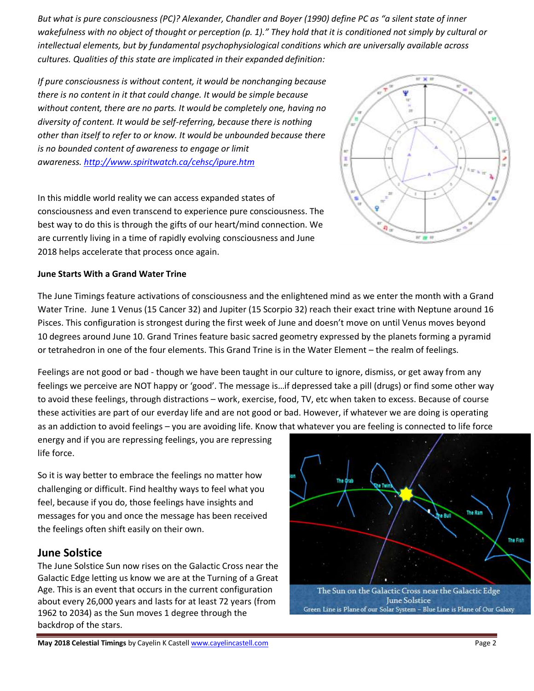*But what is pure consciousness (PC)? Alexander, Chandler and Boyer (1990) define PC as "a silent state of inner wakefulness with no object of thought or perception (p. 1)." They hold that it is conditioned not simply by cultural or intellectual elements, but by fundamental psychophysiological conditions which are universally available across cultures. Qualities of this state are implicated in their expanded definition:*

*If pure consciousness is without content, it would be nonchanging because there is no content in it that could change. It would be simple because without content, there are no parts. It would be completely one, having no diversity of content. It would be self-referring, because there is nothing other than itself to refer to or know. It would be unbounded because there is no bounded content of awareness to engage or limit awareness. <http://www.spiritwatch.ca/cehsc/ipure.htm>*

In this middle world reality we can access expanded states of consciousness and even transcend to experience pure consciousness. The best way to do this is through the gifts of our heart/mind connection. We are currently living in a time of rapidly evolving consciousness and June 2018 helps accelerate that process once again.

#### **June Starts With a Grand Water Trine**

The June Timings feature activations of consciousness and the enlightened mind as we enter the month with a Grand Water Trine. June 1 Venus (15 Cancer 32) and Jupiter (15 Scorpio 32) reach their exact trine with Neptune around 16 Pisces. This configuration is strongest during the first week of June and doesn't move on until Venus moves beyond 10 degrees around June 10. Grand Trines feature basic sacred geometry expressed by the planets forming a pyramid or tetrahedron in one of the four elements. This Grand Trine is in the Water Element – the realm of feelings.

Feelings are not good or bad - though we have been taught in our culture to ignore, dismiss, or get away from any feelings we perceive are NOT happy or 'good'. The message is…if depressed take a pill (drugs) or find some other way to avoid these feelings, through distractions – work, exercise, food, TV, etc when taken to excess. Because of course these activities are part of our everday life and are not good or bad. However, if whatever we are doing is operating as an addiction to avoid feelings – you are avoiding life. Know that whatever you are feeling is connected to life force

energy and if you are repressing feelings, you are repressing life force.

So it is way better to embrace the feelings no matter how challenging or difficult. Find healthy ways to feel what you feel, because if you do, those feelings have insights and messages for you and once the message has been received the feelings often shift easily on their own.

### **June Solstice**

The June Solstice Sun now rises on the Galactic Cross near the Galactic Edge letting us know we are at the Turning of a Great Age. This is an event that occurs in the current configuration about every 26,000 years and lasts for at least 72 years (from 1962 to 2034) as the Sun moves 1 degree through the backdrop of the stars.



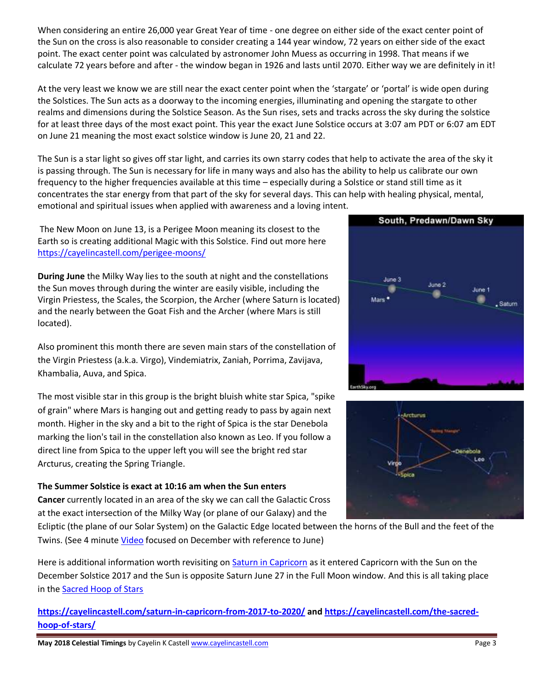When considering an entire 26,000 year Great Year of time - one degree on either side of the exact center point of the Sun on the cross is also reasonable to consider creating a 144 year window, 72 years on either side of the exact point. The exact center point was calculated by astronomer John Muess as occurring in 1998. That means if we calculate 72 years before and after - the window began in 1926 and lasts until 2070. Either way we are definitely in it!

At the very least we know we are still near the exact center point when the 'stargate' or 'portal' is wide open during the Solstices. The Sun acts as a doorway to the incoming energies, illuminating and opening the stargate to other realms and dimensions during the Solstice Season. As the Sun rises, sets and tracks across the sky during the solstice for at least three days of the most exact point. This year the exact June Solstice occurs at 3:07 am PDT or 6:07 am EDT on June 21 meaning the most exact solstice window is June 20, 21 and 22.

The Sun is a star light so gives off star light, and carries its own starry codes that help to activate the area of the sky it is passing through. The Sun is necessary for life in many ways and also has the ability to help us calibrate our own frequency to the higher frequencies available at this time – especially during a Solstice or stand still time as it concentrates the star energy from that part of the sky for several days. This can help with healing physical, mental, emotional and spiritual issues when applied with awareness and a loving intent.

The New Moon on June 13, is a Perigee Moon meaning its closest to the Earth so is creating additional Magic with this Solstice. Find out more here <https://cayelincastell.com/perigee-moons/>

**During June** the Milky Way lies to the south at night and the constellations the Sun moves through during the winter are easily visible, including the Virgin Priestess, the Scales, the Scorpion, the Archer (where Saturn is located) and the nearly between the Goat Fish and the Archer (where Mars is still located).

Also prominent this month there are seven main stars of the constellation of the Virgin Priestess (a.k.a. Virgo), Vindemiatrix, Zaniah, Porrima, Zavijava, Khambalia, Auva, and Spica.

The most visible star in this group is the bright bluish white star Spica, "spike of grain" where Mars is hanging out and getting ready to pass by again next month. Higher in the sky and a bit to the right of Spica is the star Denebola marking the lion's tail in the constellation also known as Leo. If you follow a direct line from Spica to the upper left you will see the bright red star Arcturus, creating the Spring Triangle.

#### **The Summer Solstice is exact at 10:16 am when the Sun enters**

**Cancer** currently located in an area of the sky we can call the Galactic Cross at the exact intersection of the Milky Way (or plane of our Galaxy) and the

Ecliptic (the plane of our Solar System) on the Galactic Edge located between the horns of the Bull and the feet of the Twins. (See 4 minute [Video](https://www.youtube.com/watch?v=XPv-_nkTQ4M) focused on December with reference to June)

Here is additional information worth revisiting on [Saturn in Capricorn](https://cayelincastell.com/saturn-in-capricorn-from-2017-to-2020/) as it entered Capricorn with the Sun on the December Solstice 2017 and the Sun is opposite Saturn June 27 in the Full Moon window. And this is all taking place in the [Sacred Hoop of Stars](https://cayelincastell.com/the-sacred-hoop-of-stars/)

**<https://cayelincastell.com/saturn-in-capricorn-from-2017-to-2020/> and [https://cayelincastell.com/the-sacred](https://cayelincastell.com/the-sacred-hoop-of-stars/)[hoop-of-stars/](https://cayelincastell.com/the-sacred-hoop-of-stars/)**



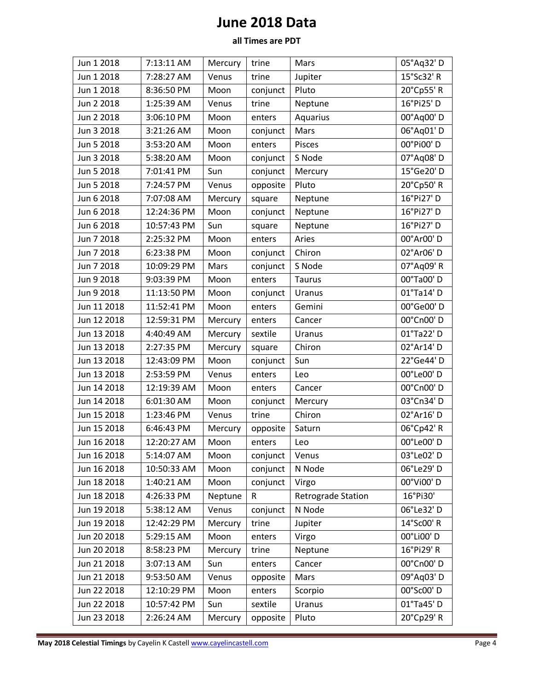# **June 2018 Data**

## **all Times are PDT**

| Jun 1 2018  | 7:13:11 AM  | Mercury | trine    | Mars                      | 05°Aq32'D  |
|-------------|-------------|---------|----------|---------------------------|------------|
| Jun 1 2018  | 7:28:27 AM  | Venus   | trine    | Jupiter                   | 15°Sc32' R |
| Jun 1 2018  | 8:36:50 PM  | Moon    | conjunct | Pluto                     | 20°Cp55' R |
| Jun 2 2018  | 1:25:39 AM  | Venus   | trine    | Neptune                   | 16°Pi25'D  |
| Jun 2 2018  | 3:06:10 PM  | Moon    | enters   | Aquarius                  | 00°Aq00'D  |
| Jun 3 2018  | 3:21:26 AM  | Moon    | conjunct | Mars                      | 06°Aq01'D  |
| Jun 5 2018  | 3:53:20 AM  | Moon    | enters   | Pisces                    | 00°Pi00'D  |
| Jun 3 2018  | 5:38:20 AM  | Moon    | conjunct | S Node                    | 07°Aq08'D  |
| Jun 5 2018  | 7:01:41 PM  | Sun     | conjunct | Mercury                   | 15°Ge20' D |
| Jun 5 2018  | 7:24:57 PM  | Venus   | opposite | Pluto                     | 20°Cp50'R  |
| Jun 6 2018  | 7:07:08 AM  | Mercury | square   | Neptune                   | 16°Pi27' D |
| Jun 6 2018  | 12:24:36 PM | Moon    | conjunct | Neptune                   | 16°Pi27' D |
| Jun 6 2018  | 10:57:43 PM | Sun     | square   | Neptune                   | 16°Pi27' D |
| Jun 7 2018  | 2:25:32 PM  | Moon    | enters   | Aries                     | 00°Ar00' D |
| Jun 7 2018  | 6:23:38 PM  | Moon    | conjunct | Chiron                    | 02°Ar06' D |
| Jun 7 2018  | 10:09:29 PM | Mars    | conjunct | S Node                    | 07°Aq09' R |
| Jun 9 2018  | 9:03:39 PM  | Moon    | enters   | <b>Taurus</b>             | 00°Ta00'D  |
| Jun 9 2018  | 11:13:50 PM | Moon    | conjunct | Uranus                    | 01°Ta14' D |
| Jun 11 2018 | 11:52:41 PM | Moon    | enters   | Gemini                    | 00°Ge00'D  |
| Jun 12 2018 | 12:59:31 PM | Mercury | enters   | Cancer                    | 00°Cn00'D  |
| Jun 13 2018 | 4:40:49 AM  | Mercury | sextile  | Uranus                    | 01°Ta22' D |
| Jun 13 2018 | 2:27:35 PM  | Mercury | square   | Chiron                    | 02°Ar14' D |
| Jun 13 2018 | 12:43:09 PM | Moon    | conjunct | Sun                       | 22°Ge44'D  |
| Jun 13 2018 | 2:53:59 PM  | Venus   | enters   | Leo                       | 00°Le00'D  |
| Jun 14 2018 | 12:19:39 AM | Moon    | enters   | Cancer                    | 00°Cn00'D  |
| Jun 14 2018 | 6:01:30 AM  | Moon    | conjunct | Mercury                   | 03°Cn34'D  |
| Jun 15 2018 | 1:23:46 PM  | Venus   | trine    | Chiron                    | 02°Ar16' D |
| Jun 15 2018 | 6:46:43 PM  | Mercury | opposite | Saturn                    | 06°Cp42' R |
| Jun 16 2018 | 12:20:27 AM | Moon    | enters   | Leo                       | 00°Le00'D  |
| Jun 16 2018 | 5:14:07 AM  | Moon    | conjunct | Venus                     | 03°Le02'D  |
| Jun 16 2018 | 10:50:33 AM | Moon    | conjunct | N Node                    | 06°Le29'D  |
| Jun 18 2018 | 1:40:21 AM  | Moon    | conjunct | Virgo                     | 00°Vi00'D  |
| Jun 18 2018 | 4:26:33 PM  | Neptune | R        | <b>Retrograde Station</b> | 16°Pi30'   |
| Jun 19 2018 | 5:38:12 AM  | Venus   | conjunct | N Node                    | 06°Le32'D  |
| Jun 19 2018 | 12:42:29 PM | Mercury | trine    | Jupiter                   | 14°Sc00' R |
| Jun 20 2018 | 5:29:15 AM  | Moon    | enters   | Virgo                     | 00°Li00'D  |
| Jun 20 2018 | 8:58:23 PM  | Mercury | trine    | Neptune                   | 16°Pi29' R |
| Jun 21 2018 | 3:07:13 AM  | Sun     | enters   | Cancer                    | 00°Cn00'D  |
| Jun 21 2018 | 9:53:50 AM  | Venus   | opposite | Mars                      | 09°Aq03'D  |
| Jun 22 2018 | 12:10:29 PM | Moon    | enters   | Scorpio                   | 00°Sc00' D |
| Jun 22 2018 | 10:57:42 PM | Sun     | sextile  | Uranus                    | 01°Ta45'D  |
| Jun 23 2018 | 2:26:24 AM  | Mercury | opposite | Pluto                     | 20°Cp29' R |